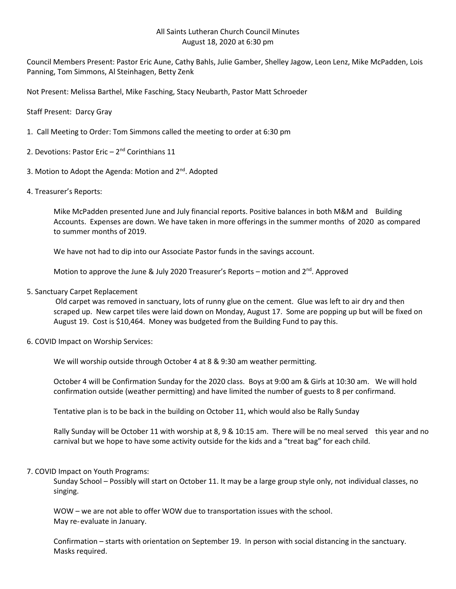## All Saints Lutheran Church Council Minutes August 18, 2020 at 6:30 pm

Council Members Present: Pastor Eric Aune, Cathy Bahls, Julie Gamber, Shelley Jagow, Leon Lenz, Mike McPadden, Lois Panning, Tom Simmons, Al Steinhagen, Betty Zenk

Not Present: Melissa Barthel, Mike Fasching, Stacy Neubarth, Pastor Matt Schroeder

Staff Present: Darcy Gray

- 1. Call Meeting to Order: Tom Simmons called the meeting to order at 6:30 pm
- 2. Devotions: Pastor Eric  $-2<sup>nd</sup>$  Corinthians 11
- 3. Motion to Adopt the Agenda: Motion and 2<sup>nd</sup>. Adopted
- 4. Treasurer's Reports:

Mike McPadden presented June and July financial reports. Positive balances in both M&M and Building Accounts. Expenses are down. We have taken in more offerings in the summer months of 2020 as compared to summer months of 2019.

We have not had to dip into our Associate Pastor funds in the savings account.

Motion to approve the June & July 2020 Treasurer's Reports – motion and 2<sup>nd</sup>. Approved

5. Sanctuary Carpet Replacement

Old carpet was removed in sanctuary, lots of runny glue on the cement. Glue was left to air dry and then scraped up. New carpet tiles were laid down on Monday, August 17. Some are popping up but will be fixed on August 19. Cost is \$10,464. Money was budgeted from the Building Fund to pay this.

6. COVID Impact on Worship Services:

We will worship outside through October 4 at 8 & 9:30 am weather permitting.

October 4 will be Confirmation Sunday for the 2020 class. Boys at 9:00 am & Girls at 10:30 am. We will hold confirmation outside (weather permitting) and have limited the number of guests to 8 per confirmand.

Tentative plan is to be back in the building on October 11, which would also be Rally Sunday

Rally Sunday will be October 11 with worship at 8, 9 & 10:15 am. There will be no meal served this year and no carnival but we hope to have some activity outside for the kids and a "treat bag" for each child.

7. COVID Impact on Youth Programs:

Sunday School – Possibly will start on October 11. It may be a large group style only, not individual classes, no singing.

WOW – we are not able to offer WOW due to transportation issues with the school. May re-evaluate in January.

Confirmation – starts with orientation on September 19. In person with social distancing in the sanctuary. Masks required.